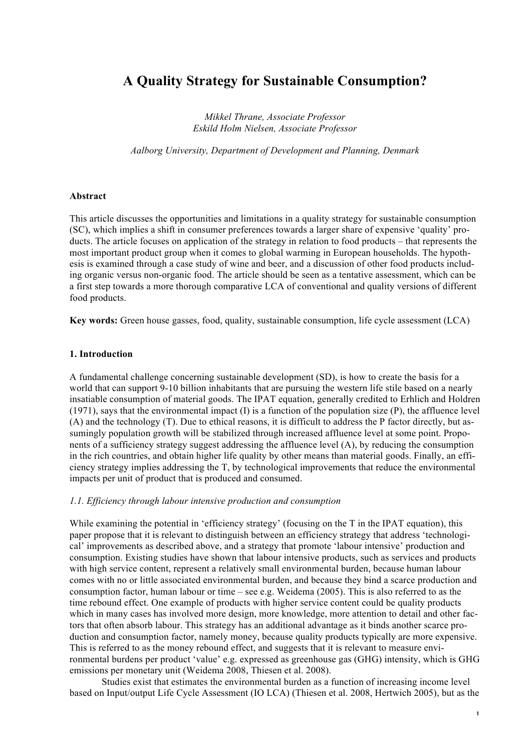# **A Quality Strategy for Sustainable Consumption?**

*Mikkel Thrane, Associate Professor Eskild Holm Nielsen, Associate Professor*

*Aalborg University, Department of Development and Planning, Denmark*

#### **Abstract**

This article discusses the opportunities and limitations in a quality strategy for sustainable consumption (SC), which implies a shift in consumer preferences towards a larger share of expensive 'quality' products. The article focuses on application of the strategy in relation to food products – that represents the most important product group when it comes to global warming in European households. The hypothesis is examined through a case study of wine and beer, and a discussion of other food products including organic versus non-organic food. The article should be seen as a tentative assessment, which can be a first step towards a more thorough comparative LCA of conventional and quality versions of different food products.

**Key words:** Green house gasses, food, quality, sustainable consumption, life cycle assessment (LCA)

#### **1. Introduction**

A fundamental challenge concerning sustainable development (SD), is how to create the basis for a world that can support 9-10 billion inhabitants that are pursuing the western life stile based on a nearly insatiable consumption of material goods. The IPAT equation, generally credited to Erhlich and Holdren (1971), says that the environmental impact (I) is a function of the population size (P), the affluence level (A) and the technology (T). Due to ethical reasons, it is difficult to address the P factor directly, but assumingly population growth will be stabilized through increased affluence level at some point. Proponents of a sufficiency strategy suggest addressing the affluence level (A), by reducing the consumption in the rich countries, and obtain higher life quality by other means than material goods. Finally, an efficiency strategy implies addressing the T, by technological improvements that reduce the environmental impacts per unit of product that is produced and consumed.

## *1.1. Efficiency through labour intensive production and consumption*

While examining the potential in 'efficiency strategy' (focusing on the T in the IPAT equation), this paper propose that it is relevant to distinguish between an efficiency strategy that address 'technological' improvements as described above, and a strategy that promote 'labour intensive' production and consumption. Existing studies have shown that labour intensive products, such as services and products with high service content, represent a relatively small environmental burden, because human labour comes with no or little associated environmental burden, and because they bind a scarce production and consumption factor, human labour or time – see e.g. Weidema (2005). This is also referred to as the time rebound effect. One example of products with higher service content could be quality products which in many cases has involved more design, more knowledge, more attention to detail and other factors that often absorb labour. This strategy has an additional advantage as it binds another scarce production and consumption factor, namely money, because quality products typically are more expensive. This is referred to as the money rebound effect, and suggests that it is relevant to measure environmental burdens per product 'value' e.g. expressed as greenhouse gas (GHG) intensity, which is GHG emissions per monetary unit (Weidema 2008, Thiesen et al. 2008).

Studies exist that estimates the environmental burden as a function of increasing income level based on Input/output Life Cycle Assessment (IO LCA) (Thiesen et al. 2008, Hertwich 2005), but as the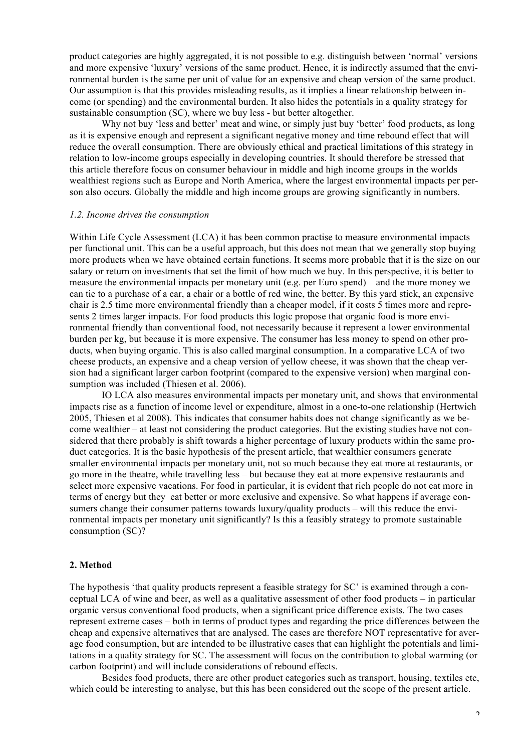product categories are highly aggregated, it is not possible to e.g. distinguish between 'normal' versions and more expensive 'luxury' versions of the same product. Hence, it is indirectly assumed that the environmental burden is the same per unit of value for an expensive and cheap version of the same product. Our assumption is that this provides misleading results, as it implies a linear relationship between income (or spending) and the environmental burden. It also hides the potentials in a quality strategy for sustainable consumption (SC), where we buy less - but better altogether.

Why not buy 'less and better' meat and wine, or simply just buy 'better' food products, as long as it is expensive enough and represent a significant negative money and time rebound effect that will reduce the overall consumption. There are obviously ethical and practical limitations of this strategy in relation to low-income groups especially in developing countries. It should therefore be stressed that this article therefore focus on consumer behaviour in middle and high income groups in the worlds wealthiest regions such as Europe and North America, where the largest environmental impacts per person also occurs. Globally the middle and high income groups are growing significantly in numbers.

#### *1.2. Income drives the consumption*

Within Life Cycle Assessment (LCA) it has been common practise to measure environmental impacts per functional unit. This can be a useful approach, but this does not mean that we generally stop buying more products when we have obtained certain functions. It seems more probable that it is the size on our salary or return on investments that set the limit of how much we buy. In this perspective, it is better to measure the environmental impacts per monetary unit (e.g. per Euro spend) – and the more money we can tie to a purchase of a car, a chair or a bottle of red wine, the better. By this yard stick, an expensive chair is 2.5 time more environmental friendly than a cheaper model, if it costs 5 times more and represents 2 times larger impacts. For food products this logic propose that organic food is more environmental friendly than conventional food, not necessarily because it represent a lower environmental burden per kg, but because it is more expensive. The consumer has less money to spend on other products, when buying organic. This is also called marginal consumption. In a comparative LCA of two cheese products, an expensive and a cheap version of yellow cheese, it was shown that the cheap version had a significant larger carbon footprint (compared to the expensive version) when marginal consumption was included (Thiesen et al. 2006).

IO LCA also measures environmental impacts per monetary unit, and shows that environmental impacts rise as a function of income level or expenditure, almost in a one-to-one relationship (Hertwich 2005, Thiesen et al 2008). This indicates that consumer habits does not change significantly as we become wealthier – at least not considering the product categories. But the existing studies have not considered that there probably is shift towards a higher percentage of luxury products within the same product categories. It is the basic hypothesis of the present article, that wealthier consumers generate smaller environmental impacts per monetary unit, not so much because they eat more at restaurants, or go more in the theatre, while travelling less – but because they eat at more expensive restaurants and select more expensive vacations. For food in particular, it is evident that rich people do not eat more in terms of energy but they eat better or more exclusive and expensive. So what happens if average consumers change their consumer patterns towards luxury/quality products – will this reduce the environmental impacts per monetary unit significantly? Is this a feasibly strategy to promote sustainable consumption (SC)?

# **2. Method**

The hypothesis 'that quality products represent a feasible strategy for SC' is examined through a conceptual LCA of wine and beer, as well as a qualitative assessment of other food products – in particular organic versus conventional food products, when a significant price difference exists. The two cases represent extreme cases – both in terms of product types and regarding the price differences between the cheap and expensive alternatives that are analysed. The cases are therefore NOT representative for average food consumption, but are intended to be illustrative cases that can highlight the potentials and limitations in a quality strategy for SC. The assessment will focus on the contribution to global warming (or carbon footprint) and will include considerations of rebound effects.

Besides food products, there are other product categories such as transport, housing, textiles etc, which could be interesting to analyse, but this has been considered out the scope of the present article.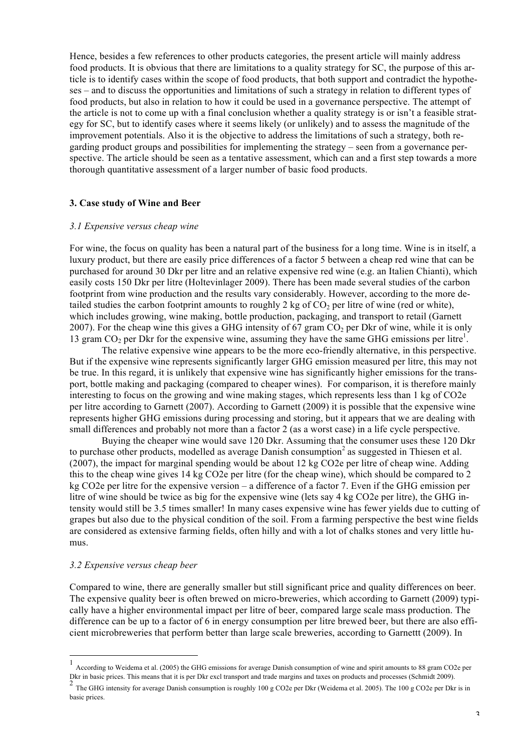Hence, besides a few references to other products categories, the present article will mainly address food products. It is obvious that there are limitations to a quality strategy for SC, the purpose of this article is to identify cases within the scope of food products, that both support and contradict the hypotheses – and to discuss the opportunities and limitations of such a strategy in relation to different types of food products, but also in relation to how it could be used in a governance perspective. The attempt of the article is not to come up with a final conclusion whether a quality strategy is or isn't a feasible strategy for SC, but to identify cases where it seems likely (or unlikely) and to assess the magnitude of the improvement potentials. Also it is the objective to address the limitations of such a strategy, both regarding product groups and possibilities for implementing the strategy – seen from a governance perspective. The article should be seen as a tentative assessment, which can and a first step towards a more thorough quantitative assessment of a larger number of basic food products.

#### **3. Case study of Wine and Beer**

#### *3.1 Expensive versus cheap wine*

For wine, the focus on quality has been a natural part of the business for a long time. Wine is in itself, a luxury product, but there are easily price differences of a factor 5 between a cheap red wine that can be purchased for around 30 Dkr per litre and an relative expensive red wine (e.g. an Italien Chianti), which easily costs 150 Dkr per litre (Holtevinlager 2009). There has been made several studies of the carbon footprint from wine production and the results vary considerably. However, according to the more detailed studies the carbon footprint amounts to roughly 2 kg of  $CO<sub>2</sub>$  per litre of wine (red or white), which includes growing, wine making, bottle production, packaging, and transport to retail (Garnett 2007). For the cheap wine this gives a GHG intensity of 67 gram  $CO<sub>2</sub>$  per Dkr of wine, while it is only 13 gram  $CO<sub>2</sub>$  per Dkr for the expensive wine, assuming they have the same GHG emissions per litre<sup>1</sup>.

The relative expensive wine appears to be the more eco-friendly alternative, in this perspective. But if the expensive wine represents significantly larger GHG emission measured per litre, this may not be true. In this regard, it is unlikely that expensive wine has significantly higher emissions for the transport, bottle making and packaging (compared to cheaper wines). For comparison, it is therefore mainly interesting to focus on the growing and wine making stages, which represents less than 1 kg of CO2e per litre according to Garnett (2007). According to Garnett (2009) it is possible that the expensive wine represents higher GHG emissions during processing and storing, but it appears that we are dealing with small differences and probably not more than a factor 2 (as a worst case) in a life cycle perspective.

Buying the cheaper wine would save 120 Dkr. Assuming that the consumer uses these 120 Dkr to purchase other products, modelled as average Danish consumption<sup>2</sup> as suggested in Thiesen et al. (2007), the impact for marginal spending would be about 12 kg CO2e per litre of cheap wine. Adding this to the cheap wine gives 14 kg CO2e per litre (for the cheap wine), which should be compared to 2 kg CO2e per litre for the expensive version – a difference of a factor 7. Even if the GHG emission per litre of wine should be twice as big for the expensive wine (lets say 4 kg CO2e per litre), the GHG intensity would still be 3.5 times smaller! In many cases expensive wine has fewer yields due to cutting of grapes but also due to the physical condition of the soil. From a farming perspective the best wine fields are considered as extensive farming fields, often hilly and with a lot of chalks stones and very little humus.

## *3.2 Expensive versus cheap beer*

Compared to wine, there are generally smaller but still significant price and quality differences on beer. The expensive quality beer is often brewed on micro-breweries, which according to Garnett (2009) typically have a higher environmental impact per litre of beer, compared large scale mass production. The difference can be up to a factor of 6 in energy consumption per litre brewed beer, but there are also efficient microbreweries that perform better than large scale breweries, according to Garnettt (2009). In

 $\frac{1}{1}$ According to Weidema et al. (2005) the GHG emissions for average Danish consumption of wine and spirit amounts to 88 gram CO2e per Dkr in basic prices. This means that it is per Dkr excl transport and trade margins and taxes on products and processes (Schmidt 2009).

<sup>&</sup>lt;sup>2</sup> The GHG intensity for average Danish consumption is roughly 100 g CO2e per Dkr (Weidema et al. 2005). The 100 g CO2e per Dkr is in basic prices.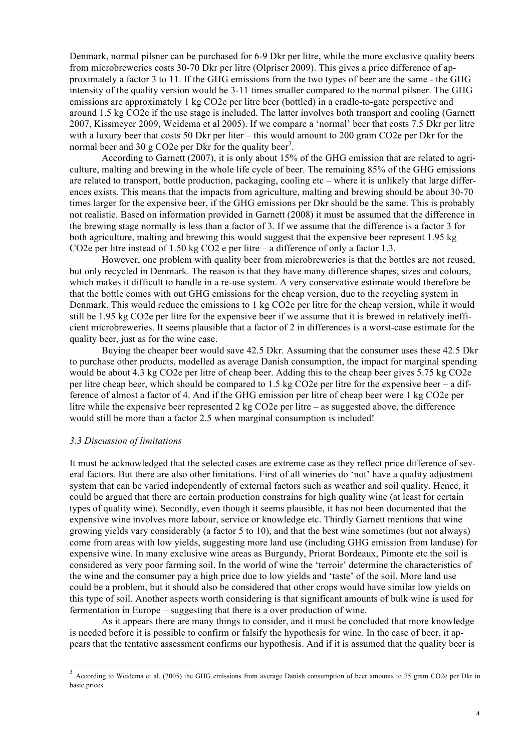Denmark, normal pilsner can be purchased for 6-9 Dkr per litre, while the more exclusive quality beers from microbreweries costs 30-70 Dkr per litre (Olpriser 2009). This gives a price difference of approximately a factor 3 to 11. If the GHG emissions from the two types of beer are the same - the GHG intensity of the quality version would be 3-11 times smaller compared to the normal pilsner. The GHG emissions are approximately 1 kg CO2e per litre beer (bottled) in a cradle-to-gate perspective and around 1.5 kg CO2e if the use stage is included. The latter involves both transport and cooling (Garnett 2007, Kissmeyer 2009, Weidema et al 2005). If we compare a 'normal' beer that costs 7.5 Dkr per litre with a luxury beer that costs 50 Dkr per liter – this would amount to 200 gram CO2e per Dkr for the normal beer and 30 g CO2e per Dkr for the quality beer<sup>3</sup>.

According to Garnett (2007), it is only about 15% of the GHG emission that are related to agriculture, malting and brewing in the whole life cycle of beer. The remaining 85% of the GHG emissions are related to transport, bottle production, packaging, cooling etc – where it is unlikely that large differences exists. This means that the impacts from agriculture, malting and brewing should be about 30-70 times larger for the expensive beer, if the GHG emissions per Dkr should be the same. This is probably not realistic. Based on information provided in Garnett (2008) it must be assumed that the difference in the brewing stage normally is less than a factor of 3. If we assume that the difference is a factor 3 for both agriculture, malting and brewing this would suggest that the expensive beer represent 1.95 kg CO2e per litre instead of 1.50 kg CO2 e per litre – a difference of only a factor 1.3.

However, one problem with quality beer from microbreweries is that the bottles are not reused, but only recycled in Denmark. The reason is that they have many difference shapes, sizes and colours, which makes it difficult to handle in a re-use system. A very conservative estimate would therefore be that the bottle comes with out GHG emissions for the cheap version, due to the recycling system in Denmark. This would reduce the emissions to 1 kg CO2e per litre for the cheap version, while it would still be 1.95 kg CO2e per litre for the expensive beer if we assume that it is brewed in relatively inefficient microbreweries. It seems plausible that a factor of 2 in differences is a worst-case estimate for the quality beer, just as for the wine case.

Buying the cheaper beer would save 42.5 Dkr. Assuming that the consumer uses these 42.5 Dkr to purchase other products, modelled as average Danish consumption, the impact for marginal spending would be about 4.3 kg CO2e per litre of cheap beer. Adding this to the cheap beer gives 5.75 kg CO2e per litre cheap beer, which should be compared to 1.5 kg CO2e per litre for the expensive beer – a difference of almost a factor of 4. And if the GHG emission per litre of cheap beer were 1 kg CO2e per litre while the expensive beer represented 2 kg CO2e per litre – as suggested above, the difference would still be more than a factor 2.5 when marginal consumption is included!

#### *3.3 Discussion of limitations*

It must be acknowledged that the selected cases are extreme case as they reflect price difference of several factors. But there are also other limitations. First of all wineries do 'not' have a quality adjustment system that can be varied independently of external factors such as weather and soil quality. Hence, it could be argued that there are certain production constrains for high quality wine (at least for certain types of quality wine). Secondly, even though it seems plausible, it has not been documented that the expensive wine involves more labour, service or knowledge etc. Thirdly Garnett mentions that wine growing yields vary considerably (a factor 5 to 10), and that the best wine sometimes (but not always) come from areas with low yields, suggesting more land use (including GHG emission from landuse) for expensive wine. In many exclusive wine areas as Burgundy, Priorat Bordeaux, Pimonte etc the soil is considered as very poor farming soil. In the world of wine the 'terroir' determine the characteristics of the wine and the consumer pay a high price due to low yields and 'taste' of the soil. More land use could be a problem, but it should also be considered that other crops would have similar low yields on this type of soil. Another aspects worth considering is that significant amounts of bulk wine is used for fermentation in Europe – suggesting that there is a over production of wine.

As it appears there are many things to consider, and it must be concluded that more knowledge is needed before it is possible to confirm or falsify the hypothesis for wine. In the case of beer, it appears that the tentative assessment confirms our hypothesis. And if it is assumed that the quality beer is

<sup>&</sup>lt;sup>3</sup> According to Weidema et al. (2005) the GHG emissions from average Danish consumption of beer amounts to 75 gram CO2e per Dkr in basic prices.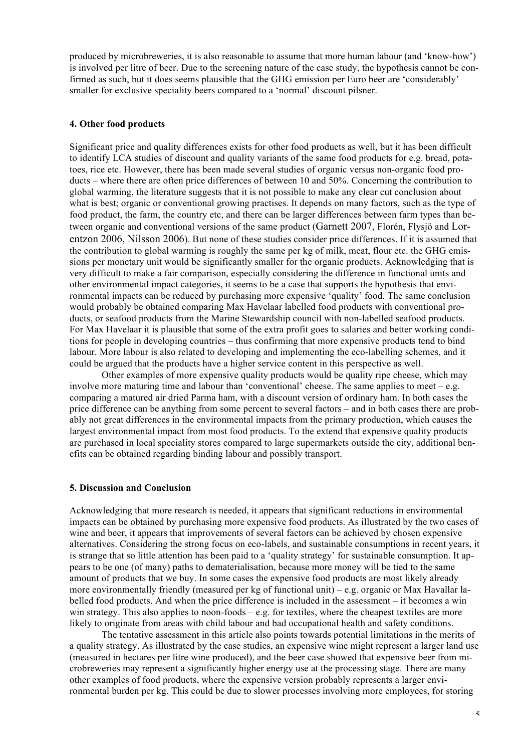produced by microbreweries, it is also reasonable to assume that more human labour (and 'know-how') is involved per litre of beer. Due to the screening nature of the case study, the hypothesis cannot be confirmed as such, but it does seems plausible that the GHG emission per Euro beer are 'considerably' smaller for exclusive speciality beers compared to a 'normal' discount pilsner.

# **4. Other food products**

Significant price and quality differences exists for other food products as well, but it has been difficult to identify LCA studies of discount and quality variants of the same food products for e.g. bread, potatoes, rice etc. However, there has been made several studies of organic versus non-organic food products – where there are often price differences of between 10 and 50%. Concerning the contribution to global warming, the literature suggests that it is not possible to make any clear cut conclusion about what is best; organic or conventional growing practises. It depends on many factors, such as the type of food product, the farm, the country etc, and there can be larger differences between farm types than between organic and conventional versions of the same product (Garnett 2007, Florén, Flysjö and Lorentzon 2006, Nilsson 2006). But none of these studies consider price differences. If it is assumed that the contribution to global warming is roughly the same per kg of milk, meat, flour etc. the GHG emissions per monetary unit would be significantly smaller for the organic products. Acknowledging that is very difficult to make a fair comparison, especially considering the difference in functional units and other environmental impact categories, it seems to be a case that supports the hypothesis that environmental impacts can be reduced by purchasing more expensive 'quality' food. The same conclusion would probably be obtained comparing Max Havelaar labelled food products with conventional products, or seafood products from the Marine Stewardship council with non-labelled seafood products. For Max Havelaar it is plausible that some of the extra profit goes to salaries and better working conditions for people in developing countries – thus confirming that more expensive products tend to bind labour. More labour is also related to developing and implementing the eco-labelling schemes, and it could be argued that the products have a higher service content in this perspective as well.

Other examples of more expensive quality products would be quality ripe cheese, which may involve more maturing time and labour than 'conventional' cheese. The same applies to meet – e.g. comparing a matured air dried Parma ham, with a discount version of ordinary ham. In both cases the price difference can be anything from some percent to several factors – and in both cases there are probably not great differences in the environmental impacts from the primary production, which causes the largest environmental impact from most food products. To the extend that expensive quality products are purchased in local speciality stores compared to large supermarkets outside the city, additional benefits can be obtained regarding binding labour and possibly transport.

# **5. Discussion and Conclusion**

Acknowledging that more research is needed, it appears that significant reductions in environmental impacts can be obtained by purchasing more expensive food products. As illustrated by the two cases of wine and beer, it appears that improvements of several factors can be achieved by chosen expensive alternatives. Considering the strong focus on eco-labels, and sustainable consumptions in recent years, it is strange that so little attention has been paid to a 'quality strategy' for sustainable consumption. It appears to be one (of many) paths to dematerialisation, because more money will be tied to the same amount of products that we buy. In some cases the expensive food products are most likely already more environmentally friendly (measured per kg of functional unit) – e.g. organic or Max Havallar labelled food products. And when the price difference is included in the assessment – it becomes a win win strategy. This also applies to noon-foods – e.g. for textiles, where the cheapest textiles are more likely to originate from areas with child labour and bad occupational health and safety conditions.

The tentative assessment in this article also points towards potential limitations in the merits of a quality strategy. As illustrated by the case studies, an expensive wine might represent a larger land use (measured in hectares per litre wine produced), and the beer case showed that expensive beer from microbreweries may represent a significantly higher energy use at the processing stage. There are many other examples of food products, where the expensive version probably represents a larger environmental burden per kg. This could be due to slower processes involving more employees, for storing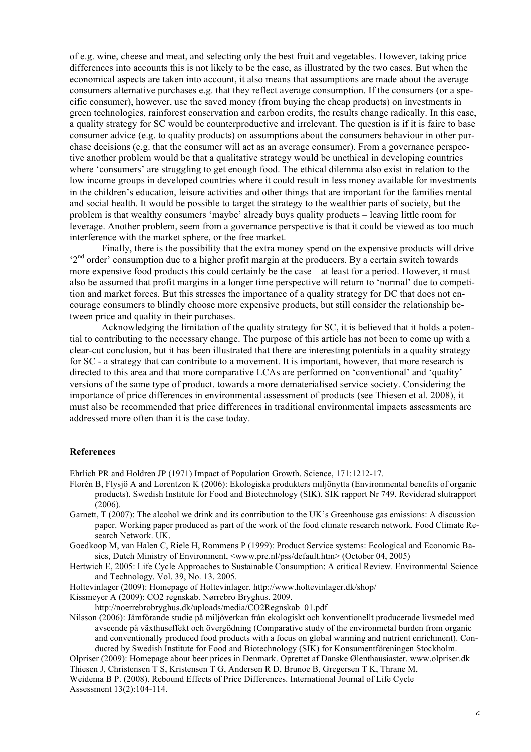of e.g. wine, cheese and meat, and selecting only the best fruit and vegetables. However, taking price differences into accounts this is not likely to be the case, as illustrated by the two cases. But when the economical aspects are taken into account, it also means that assumptions are made about the average consumers alternative purchases e.g. that they reflect average consumption. If the consumers (or a specific consumer), however, use the saved money (from buying the cheap products) on investments in green technologies, rainforest conservation and carbon credits, the results change radically. In this case, a quality strategy for SC would be counterproductive and irrelevant. The question is if it is faire to base consumer advice (e.g. to quality products) on assumptions about the consumers behaviour in other purchase decisions (e.g. that the consumer will act as an average consumer). From a governance perspective another problem would be that a qualitative strategy would be unethical in developing countries where 'consumers' are struggling to get enough food. The ethical dilemma also exist in relation to the low income groups in developed countries where it could result in less money available for investments in the children's education, leisure activities and other things that are important for the families mental and social health. It would be possible to target the strategy to the wealthier parts of society, but the problem is that wealthy consumers 'maybe' already buys quality products – leaving little room for leverage. Another problem, seem from a governance perspective is that it could be viewed as too much interference with the market sphere, or the free market.

Finally, there is the possibility that the extra money spend on the expensive products will drive '2<sup>nd</sup> order' consumption due to a higher profit margin at the producers. By a certain switch towards more expensive food products this could certainly be the case – at least for a period. However, it must also be assumed that profit margins in a longer time perspective will return to 'normal' due to competition and market forces. But this stresses the importance of a quality strategy for DC that does not encourage consumers to blindly choose more expensive products, but still consider the relationship between price and quality in their purchases.

Acknowledging the limitation of the quality strategy for SC, it is believed that it holds a potential to contributing to the necessary change. The purpose of this article has not been to come up with a clear-cut conclusion, but it has been illustrated that there are interesting potentials in a quality strategy for SC - a strategy that can contribute to a movement. It is important, however, that more research is directed to this area and that more comparative LCAs are performed on 'conventional' and 'quality' versions of the same type of product. towards a more dematerialised service society. Considering the importance of price differences in environmental assessment of products (see Thiesen et al. 2008), it must also be recommended that price differences in traditional environmental impacts assessments are addressed more often than it is the case today.

#### **References**

Ehrlich PR and Holdren JP (1971) Impact of Population Growth. Science, 171:1212-17.

- Florén B, Flysjö A and Lorentzon K (2006): Ekologiska produkters miljönytta (Environmental benefits of organic products). Swedish Institute for Food and Biotechnology (SIK). SIK rapport Nr 749. Reviderad slutrapport (2006).
- Garnett, T (2007): The alcohol we drink and its contribution to the UK's Greenhouse gas emissions: A discussion paper. Working paper produced as part of the work of the food climate research network. Food Climate Research Network. UK.
- Goedkoop M, van Halen C, Riele H, Rommens P (1999): Product Service systems: Ecological and Economic Basics, Dutch Ministry of Environment, <www.pre.nl/pss/default.htm> (October 04, 2005)
- Hertwich E, 2005: Life Cycle Approaches to Sustainable Consumption: A critical Review. Environmental Science and Technology. Vol. 39, No. 13. 2005.
- Holtevinlager (2009): Homepage of Holtevinlager. http://www.holtevinlager.dk/shop/

Kissmeyer A (2009): CO2 regnskab. Nørrebro Bryghus. 2009.

http://noerrebrobryghus.dk/uploads/media/CO2Regnskab\_01.pdf

Nilsson (2006): Jämförande studie på miljöverkan från ekologiskt och konventionellt producerade livsmedel med avseende på växthuseffekt och övergödning (Comparative study of the environmetal burden from organic and conventionally produced food products with a focus on global warming and nutrient enrichment). Conducted by Swedish Institute for Food and Biotechnology (SIK) for Konsumentföreningen Stockholm.

Olpriser (2009): Homepage about beer prices in Denmark. Oprettet af Danske Ølenthausiaster. www.olpriser.dk Thiesen J, Christensen T S, Kristensen T G, Andersen R D, Brunoe B, Gregersen T K, Thrane M, Weidema B P. (2008). Rebound Effects of Price Differences. International Journal of Life Cycle

Assessment 13(2):104-114.